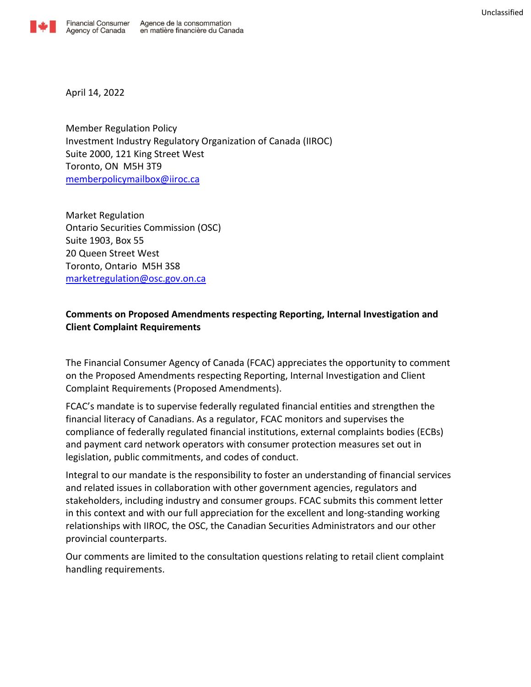

April 14, 2022

Member Regulation Policy Investment Industry Regulatory Organization of Canada (IIROC) Suite 2000, 121 King Street West Toronto, ON M5H 3T9 [memberpolicymailbox@iiroc.ca](mailto:memberpolicymailbox@iiroc.ca)

Market Regulation Ontario Securities Commission (OSC) Suite 1903, Box 55 20 Queen Street West Toronto, Ontario M5H 3S8 [marketregulation@osc.gov.on.ca](mailto:marketregulation@osc.gov.on.ca)

## **Comments on Proposed Amendments respecting Reporting, Internal Investigation and Client Complaint Requirements**

The Financial Consumer Agency of Canada (FCAC) appreciates the opportunity to comment on the Proposed Amendments respecting Reporting, Internal Investigation and Client Complaint Requirements (Proposed Amendments).

FCAC's mandate is to supervise federally regulated financial entities and strengthen the financial literacy of Canadians. As a regulator, FCAC monitors and supervises the compliance of federally regulated financial institutions, external complaints bodies (ECBs) and payment card network operators with consumer protection measures set out in legislation, public commitments, and codes of conduct.

Integral to our mandate is the responsibility to foster an understanding of financial services and related issues in collaboration with other government agencies, regulators and stakeholders, including industry and consumer groups. FCAC submits this comment letter in this context and with our full appreciation for the excellent and long-standing working relationships with IIROC, the OSC, the Canadian Securities Administrators and our other provincial counterparts.

Our comments are limited to the consultation questions relating to retail client complaint handling requirements.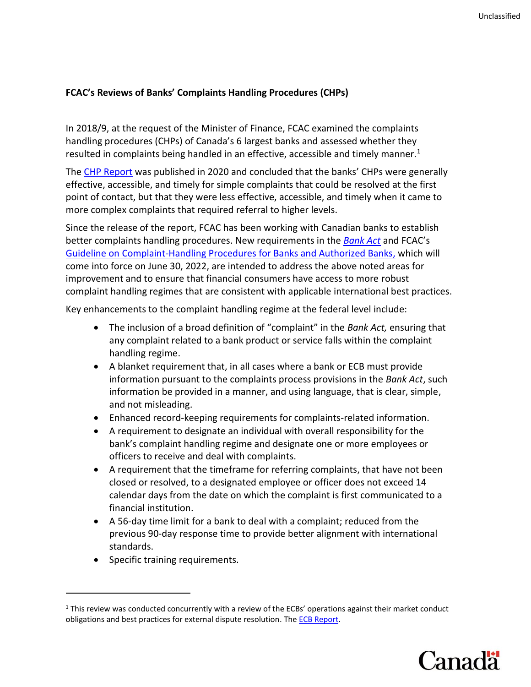#### **FCAC's Reviews of Banks' Complaints Handling Procedures (CHPs)**

In 2018/9, at the request of the Minister of Finance, FCAC examined the complaints handling procedures (CHPs) of Canada's 6 largest banks and assessed whether they resulted in complaints being handled in an effective, accessible and timely manner.<sup>1</sup>

Th[e CHP Report](https://www.canada.ca/en/financial-consumer-agency/programs/research/banks-complaints-handling-procedures.html) was published in 2020 and concluded that the banks' CHPs were generally effective, accessible, and timely for simple complaints that could be resolved at the first point of contact, but that they were less effective, accessible, and timely when it came to more complex complaints that required referral to higher levels.

Since the release of the report, FCAC has been working with Canadian banks to establish better complaints handling procedures. New requirements in the *[Bank Act](https://laws-lois.justice.gc.ca/eng/annualstatutes/2018_27/page-40.html#h-112)* and FCAC's [Guideline on Complaint-Handling Procedures for Banks and Authorized Banks,](https://www.canada.ca/en/financial-consumer-agency/services/industry/commissioner-guidance/complaint-handling-procedures-banks.html) which will come into force on June 30, 2022, are intended to address the above noted areas for improvement and to ensure that financial consumers have access to more robust complaint handling regimes that are consistent with applicable international best practices.

Key enhancements to the complaint handling regime at the federal level include:

- The inclusion of a broad definition of "complaint" in the *Bank Act,* ensuring that any complaint related to a bank product or service falls within the complaint handling regime.
- A blanket requirement that, in all cases where a bank or ECB must provide information pursuant to the complaints process provisions in the *Bank Act*, such information be provided in a manner, and using language, that is clear, simple, and not misleading.
- Enhanced record-keeping requirements for complaints-related information.
- A requirement to designate an individual with overall responsibility for the bank's complaint handling regime and designate one or more employees or officers to receive and deal with complaints.
- A requirement that the timeframe for referring complaints, that have not been closed or resolved, to a designated employee or officer does not exceed 14 calendar days from the date on which the complaint is first communicated to a financial institution.
- A 56-day time limit for a bank to deal with a complaint; reduced from the previous 90-day response time to provide better alignment with international standards.
- Specific training requirements.

 $1$  This review was conducted concurrently with a review of the ECBs' operations against their market conduct obligations and best practices for external dispute resolution. The **ECB Report**.

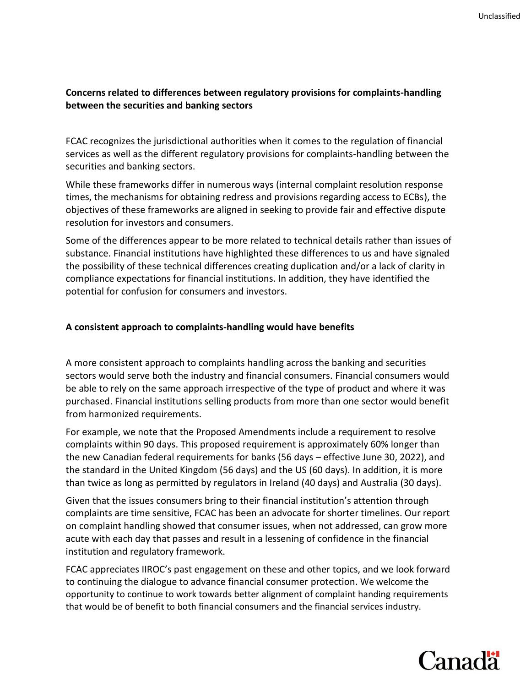### **Concerns related to differences between regulatory provisions for complaints-handling between the securities and banking sectors**

FCAC recognizes the jurisdictional authorities when it comes to the regulation of financial services as well as the different regulatory provisions for complaints-handling between the securities and banking sectors.

While these frameworks differ in numerous ways (internal complaint resolution response times, the mechanisms for obtaining redress and provisions regarding access to ECBs), the objectives of these frameworks are aligned in seeking to provide fair and effective dispute resolution for investors and consumers.

Some of the differences appear to be more related to technical details rather than issues of substance. Financial institutions have highlighted these differences to us and have signaled the possibility of these technical differences creating duplication and/or a lack of clarity in compliance expectations for financial institutions. In addition, they have identified the potential for confusion for consumers and investors.

#### **A consistent approach to complaints-handling would have benefits**

A more consistent approach to complaints handling across the banking and securities sectors would serve both the industry and financial consumers. Financial consumers would be able to rely on the same approach irrespective of the type of product and where it was purchased. Financial institutions selling products from more than one sector would benefit from harmonized requirements.

For example, we note that the Proposed Amendments include a requirement to resolve complaints within 90 days. This proposed requirement is approximately 60% longer than the new Canadian federal requirements for banks (56 days – effective June 30, 2022), and the standard in the United Kingdom (56 days) and the US (60 days). In addition, it is more than twice as long as permitted by regulators in Ireland (40 days) and Australia (30 days).

Given that the issues consumers bring to their financial institution's attention through complaints are time sensitive, FCAC has been an advocate for shorter timelines. Our report on complaint handling showed that consumer issues, when not addressed, can grow more acute with each day that passes and result in a lessening of confidence in the financial institution and regulatory framework.

FCAC appreciates IIROC's past engagement on these and other topics, and we look forward to continuing the dialogue to advance financial consumer protection. We welcome the opportunity to continue to work towards better alignment of complaint handing requirements that would be of benefit to both financial consumers and the financial services industry.

# **Canadä**